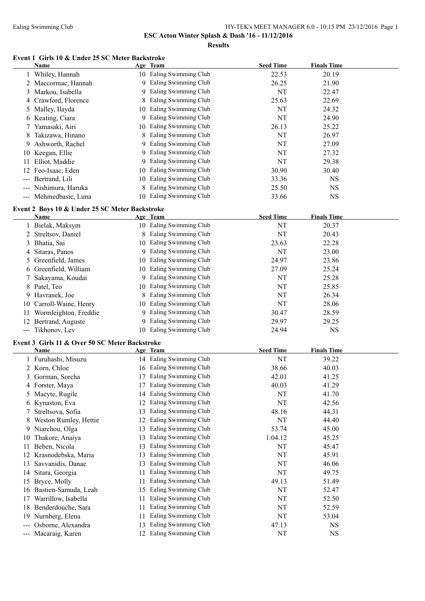**ESC Acton Winter Splash & Dash '16 - 11/12/2016**

**Results**

## **Event 1 Girls 10 & Under 25 SC Meter Backstroke**

|                        | <b>Name</b>                                    |    | Age Team                | <b>Seed Time</b> | <b>Finals Time</b> |  |
|------------------------|------------------------------------------------|----|-------------------------|------------------|--------------------|--|
|                        | 1 Whiley, Hannah                               |    | 10 Ealing Swimming Club | 22.53            | 20.19              |  |
|                        | 2 Maccormac, Hannah                            |    | 9 Ealing Swimming Club  | 26.25            | 21.90              |  |
|                        | 3 Markou, Isabella                             | 9. | Ealing Swimming Club    | NT               | 22.47              |  |
|                        | 4 Crawford, Florence                           | 8  | Ealing Swimming Club    | 25.63            | 22.69              |  |
|                        | 5 Malley, Ilayda                               |    | 10 Ealing Swimming Club | NT               | 24.32              |  |
|                        | 6 Keating, Ciara                               |    | 9 Ealing Swimming Club  | NT               | 24.90              |  |
|                        | 7 Yamasaki, Airi                               |    | 10 Ealing Swimming Club | 26.13            | 25.22              |  |
| 8                      | Takizawa, Hinano                               | 8  | Ealing Swimming Club    | NT               | 26.97              |  |
|                        | 9 Ashworth, Rachel                             |    | 9 Ealing Swimming Club  | NT               | 27.09              |  |
|                        | 10 Keegan, Ellie                               |    | 9 Ealing Swimming Club  | NT               | 27.32              |  |
|                        | 11 Elliot, Maddie                              |    | 9 Ealing Swimming Club  | NT               | 29.38              |  |
|                        | 12 Feo-Isaac, Eden                             |    | 10 Ealing Swimming Club | 30.90            | 30.40              |  |
|                        | Bertrand, Lili                                 |    | 10 Ealing Swimming Club | 33.36            | <b>NS</b>          |  |
|                        | --- Nishimura, Haruka                          |    | Ealing Swimming Club    | 25.50            | <b>NS</b>          |  |
|                        | --- Mehmedbasic, Luna                          |    | 10 Ealing Swimming Club | 33.66            | <b>NS</b>          |  |
|                        |                                                |    |                         |                  |                    |  |
|                        | Event 2 Boys 10 & Under 25 SC Meter Backstroke |    |                         |                  |                    |  |
|                        | <b>Name</b>                                    |    | Age Team                | <b>Seed Time</b> | <b>Finals Time</b> |  |
|                        | 1 Bielak, Maksym                               |    | 10 Ealing Swimming Club | NT               | 20.37              |  |
|                        | 2 Streltsov, Daniel                            |    | 8 Ealing Swimming Club  | NT               | 20.43              |  |
|                        | 3 Bhatia, Sai                                  |    | 10 Ealing Swimming Club | 23.63            | 22.28              |  |
|                        | 4 Sitaras, Panos                               |    | 9 Ealing Swimming Club  | NT               | 23.00              |  |
|                        | 5 Greenfield, James                            |    | 10 Ealing Swimming Club | 24.97            | 23.86              |  |
|                        | 6 Greenfield, William                          |    | 10 Ealing Swimming Club | 27.09            | 25.24              |  |
|                        | 7 Sakayama, Koudai                             |    | 9 Ealing Swimming Club  | NT               | 25.28              |  |
|                        | 8 Patel, Teo                                   |    | 10 Ealing Swimming Club | NT               | 25.85              |  |
| 9                      | Havranek, Joe                                  |    | 8 Ealing Swimming Club  | NT               | 26.34              |  |
| 10                     | Carroll-Waine, Henry                           |    | 10 Ealing Swimming Club | NT               | 28.06              |  |
| 11                     | Wormleighton, Freddie                          |    | 9 Ealing Swimming Club  | 30.47            | 28.59              |  |
| 12                     | Bertrand, Auguste                              |    | 9 Ealing Swimming Club  | 29.97            | 29.25              |  |
|                        | --- Tikhonov, Lev                              |    | 10 Ealing Swimming Club | 24.94            | <b>NS</b>          |  |
|                        | Event 3 Girls 11 & Over 50 SC Meter Backstroke |    |                         |                  |                    |  |
|                        | Name                                           |    | Age Team                | <b>Seed Time</b> | <b>Finals Time</b> |  |
|                        | 1 Furuhashi, Misuzu                            |    | 14 Ealing Swimming Club | NT               | 39.22              |  |
|                        | 2 Korn, Chloe                                  |    | 16 Ealing Swimming Club | 38.66            | 40.03              |  |
|                        | 3 Gorman, Sorcha                               |    | 17 Ealing Swimming Club | 42.01            | 41.25              |  |
| 4                      | Forster, Maya                                  |    | 17 Ealing Swimming Club | 40.03            | 41.29              |  |
|                        | 5 Macyte, Rugile                               |    | 14 Ealing Swimming Club | NT               | 41.70              |  |
|                        | 6 Kynaston, Eva                                | 12 | Ealing Swimming Club    | NT               | 42.56              |  |
|                        | Streltsova, Sofia                              | 13 | Ealing Swimming Club    | 48.16            | 44.31              |  |
|                        | 8 Weston Rumley, Hettie                        | 12 | Ealing Swimming Club    | NT               | 44.40              |  |
|                        | 9 Niarchou, Olga                               | 13 | Ealing Swimming Club    | 53.74            | 45.00              |  |
| 10                     | Thakore, Anaiya                                | 13 | Ealing Swimming Club    | 1:04.12          | 45.25              |  |
| 11.                    | Beben, Nicola                                  | 13 | Ealing Swimming Club    | NT               | 45.47              |  |
|                        | 12 Krasnodebska, Maria                         | 13 | Ealing Swimming Club    | NT               | 45.91              |  |
| 13                     | Savvanidis, Danae                              | 13 | Ealing Swimming Club    | NT               | 46.06              |  |
| 14                     | Sitara, Georgia                                | 11 | Ealing Swimming Club    | NT               | 49.75              |  |
| 15                     | Bryce, Molly                                   | 11 | Ealing Swimming Club    | 49.13            | 51.49              |  |
| 16                     | Bastien-Samuda, Leah                           | 15 | Ealing Swimming Club    | NT               | 52.47              |  |
| 17                     | Warrillow, Isabella                            | 11 | Ealing Swimming Club    | NT               | 52.50              |  |
| 18                     | Benderdouche, Sara                             | 11 | Ealing Swimming Club    | NT               | 52.59              |  |
| 19                     | Nurnberg, Elena                                | 11 | Ealing Swimming Club    | NT               | 53.04              |  |
| $\qquad \qquad \cdots$ | Osborne, Alexandra                             | 13 | Ealing Swimming Club    | 47.13            | <b>NS</b>          |  |
| $\qquad \qquad \cdots$ | Macaraig, Karen                                |    | 12 Ealing Swimming Club | NT               | $_{\rm NS}$        |  |
|                        |                                                |    |                         |                  |                    |  |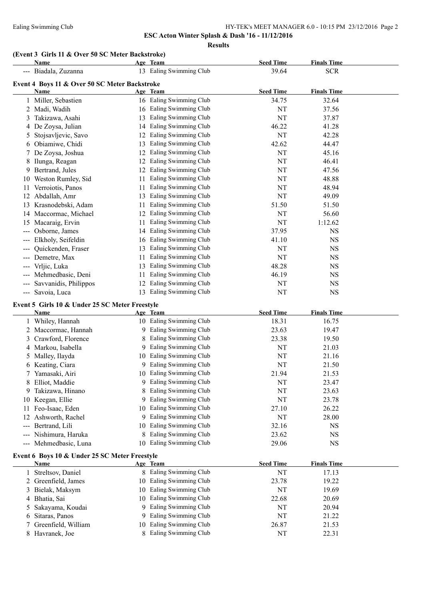### Ealing Swimming Club HY-TEK's MEET MANAGER 6.0 - 10:15 PM 23/12/2016 Page 2

**ESC Acton Winter Splash & Dash '16 - 11/12/2016**

**Results**

## **(Event 3 Girls 11 & Over 50 SC Meter Backstroke)**

| Name                                          |    | Age Team                | <b>Seed Time</b> | <b>Finals Time</b> |  |  |  |  |
|-----------------------------------------------|----|-------------------------|------------------|--------------------|--|--|--|--|
| Biadala, Zuzanna                              |    | 13 Ealing Swimming Club | 39.64            | <b>SCR</b>         |  |  |  |  |
| Event 4 Boys 11 & Over 50 SC Meter Backstroke |    |                         |                  |                    |  |  |  |  |
| Name                                          |    | Age Team                | <b>Seed Time</b> | <b>Finals Time</b> |  |  |  |  |
| Miller, Sebastien                             |    | Ealing Swimming Club    | 34.75            | 32.64              |  |  |  |  |
| 2 Madi, Wadih                                 | 16 | Ealing Swimming Club    | NT               | 37.56              |  |  |  |  |
| Takizawa, Asahi<br>3                          | 13 | Ealing Swimming Club    | NT               | 37.87              |  |  |  |  |
| 4 De Zoysa, Julian                            | 14 | Ealing Swimming Club    | 46.22            | 41.28              |  |  |  |  |
| Stojsavljevic, Savo<br>Ć.                     |    | Ealing Swimming Club    | NT               | 42.28              |  |  |  |  |
| Obiamiwe, Chidi<br>6                          | 13 | Ealing Swimming Club    | 42.62            | 44.47              |  |  |  |  |
| De Zoysa, Joshua                              | 12 | Ealing Swimming Club    | NT               | 45.16              |  |  |  |  |
| Ilunga, Reagan                                |    | Ealing Swimming Club    | NT               | 46.41              |  |  |  |  |
| Bertrand, Jules<br>9.                         |    | Ealing Swimming Club    | NT               | 47.56              |  |  |  |  |
| Weston Rumley, Sid<br>10                      | 11 | Ealing Swimming Club    | NT               | 48.88              |  |  |  |  |
| Verroiotis, Panos<br>11                       | 11 | Ealing Swimming Club    | NT               | 48.94              |  |  |  |  |
| Abdallah, Amr<br>12                           | 13 | Ealing Swimming Club    | NT               | 49.09              |  |  |  |  |
| Krasnodebski, Adam<br>13                      | 11 | Ealing Swimming Club    | 51.50            | 51.50              |  |  |  |  |
| 14 Maccormac, Michael                         |    | Ealing Swimming Club    | NT               | 56.60              |  |  |  |  |
| Macaraig, Ervin<br>15                         | 11 | Ealing Swimming Club    | NT               | 1:12.62            |  |  |  |  |
| Osborne, James                                | 14 | Ealing Swimming Club    | 37.95            | <b>NS</b>          |  |  |  |  |
| Elkholy, Seifeldin                            | 16 | Ealing Swimming Club    | 41.10            | <b>NS</b>          |  |  |  |  |
| Quickenden, Fraser                            | 13 | Ealing Swimming Club    | NT               | <b>NS</b>          |  |  |  |  |
| Demetre, Max                                  | 11 | Ealing Swimming Club    | NT               | <b>NS</b>          |  |  |  |  |
| Vrljic, Luka                                  | 13 | Ealing Swimming Club    | 48.28            | <b>NS</b>          |  |  |  |  |
| Mehmedbasic, Deni                             | 11 | Ealing Swimming Club    | 46.19            | <b>NS</b>          |  |  |  |  |
| Savvanidis, Philippos                         |    | Ealing Swimming Club    | NT               | <b>NS</b>          |  |  |  |  |
| Savoia, Luca<br>---                           | 13 | Ealing Swimming Club    | NT               | <b>NS</b>          |  |  |  |  |

## **Event 5 Girls 10 & Under 25 SC Meter Freestyle**

|                                                                                                                                                                                                                                                                                                                                                                                                                                                                            | <b>Name</b>                                   |    | Age Team                | <b>Seed Time</b> | <b>Finals Time</b> |  |
|----------------------------------------------------------------------------------------------------------------------------------------------------------------------------------------------------------------------------------------------------------------------------------------------------------------------------------------------------------------------------------------------------------------------------------------------------------------------------|-----------------------------------------------|----|-------------------------|------------------|--------------------|--|
|                                                                                                                                                                                                                                                                                                                                                                                                                                                                            | 1 Whiley, Hannah                              |    | 10 Ealing Swimming Club | 18.31            | 16.75              |  |
|                                                                                                                                                                                                                                                                                                                                                                                                                                                                            | Maccormac, Hannah                             | 9  | Ealing Swimming Club    | 23.63            | 19.47              |  |
| 3                                                                                                                                                                                                                                                                                                                                                                                                                                                                          | Crawford, Florence                            |    | Ealing Swimming Club    | 23.38            | 19.50              |  |
|                                                                                                                                                                                                                                                                                                                                                                                                                                                                            | 4 Markou, Isabella                            | 9  | Ealing Swimming Club    | NT               | 21.03              |  |
| 5.                                                                                                                                                                                                                                                                                                                                                                                                                                                                         | Malley, Ilayda                                | 10 | Ealing Swimming Club    | NT               | 21.16              |  |
| 6                                                                                                                                                                                                                                                                                                                                                                                                                                                                          | Keating, Ciara                                | 9  | Ealing Swimming Club    | NT               | 21.50              |  |
|                                                                                                                                                                                                                                                                                                                                                                                                                                                                            | Yamasaki, Airi                                | 10 | Ealing Swimming Club    | 21.94            | 21.53              |  |
| 8                                                                                                                                                                                                                                                                                                                                                                                                                                                                          | Elliot, Maddie                                | 9  | Ealing Swimming Club    | NT               | 23.47              |  |
| 9                                                                                                                                                                                                                                                                                                                                                                                                                                                                          | Takizawa, Hinano                              |    | Ealing Swimming Club    | NT               | 23.63              |  |
| 10                                                                                                                                                                                                                                                                                                                                                                                                                                                                         | Keegan, Ellie                                 | 9  | Ealing Swimming Club    | NT               | 23.78              |  |
| 11                                                                                                                                                                                                                                                                                                                                                                                                                                                                         | Feo-Isaac, Eden                               | 10 | Ealing Swimming Club    | 27.10            | 26.22              |  |
| 12                                                                                                                                                                                                                                                                                                                                                                                                                                                                         | Ashworth, Rachel                              | 9  | Ealing Swimming Club    | NT               | 28.00              |  |
|                                                                                                                                                                                                                                                                                                                                                                                                                                                                            | Bertrand, Lili                                | 10 | Ealing Swimming Club    | 32.16            | <b>NS</b>          |  |
| $\frac{1}{2} \left( \frac{1}{2} \right) \left( \frac{1}{2} \right) \left( \frac{1}{2} \right) \left( \frac{1}{2} \right) \left( \frac{1}{2} \right) \left( \frac{1}{2} \right) \left( \frac{1}{2} \right) \left( \frac{1}{2} \right) \left( \frac{1}{2} \right) \left( \frac{1}{2} \right) \left( \frac{1}{2} \right) \left( \frac{1}{2} \right) \left( \frac{1}{2} \right) \left( \frac{1}{2} \right) \left( \frac{1}{2} \right) \left( \frac{1}{2} \right) \left( \frac$ | Nishimura, Haruka                             |    | Ealing Swimming Club    | 23.62            | <b>NS</b>          |  |
|                                                                                                                                                                                                                                                                                                                                                                                                                                                                            | --- Mehmedbasic, Luna                         | 10 | Ealing Swimming Club    | 29.06            | <b>NS</b>          |  |
|                                                                                                                                                                                                                                                                                                                                                                                                                                                                            | Event 6 Boys 10 & Under 25 SC Meter Freestyle |    |                         |                  |                    |  |
|                                                                                                                                                                                                                                                                                                                                                                                                                                                                            | Name                                          |    | Age Team                | <b>Seed Time</b> | <b>Finals Time</b> |  |
|                                                                                                                                                                                                                                                                                                                                                                                                                                                                            | Streltsov, Daniel                             | 8  | Ealing Swimming Club    | NT               | 17.13              |  |
|                                                                                                                                                                                                                                                                                                                                                                                                                                                                            | Greenfield, James                             | 10 | Ealing Swimming Club    | 23.78            | 19.22              |  |
| 3                                                                                                                                                                                                                                                                                                                                                                                                                                                                          | Bielak, Maksym                                | 10 | Ealing Swimming Club    | NT               | 19.69              |  |
| 4                                                                                                                                                                                                                                                                                                                                                                                                                                                                          | Bhatia, Sai                                   | 10 | Ealing Swimming Club    | 22.68            | 20.69              |  |
|                                                                                                                                                                                                                                                                                                                                                                                                                                                                            | Sakayama, Koudai                              | 9  | Ealing Swimming Club    | NT               | 20.94              |  |
| <sub>b</sub>                                                                                                                                                                                                                                                                                                                                                                                                                                                               | Sitaras, Panos                                |    | Ealing Swimming Club    | NT               | 21.22              |  |
|                                                                                                                                                                                                                                                                                                                                                                                                                                                                            | Greenfield, William                           |    | 10 Ealing Swimming Club | 26.87            | 21.53              |  |

8 Havranek, Joe 8 Ealing Swimming Club NT 22.31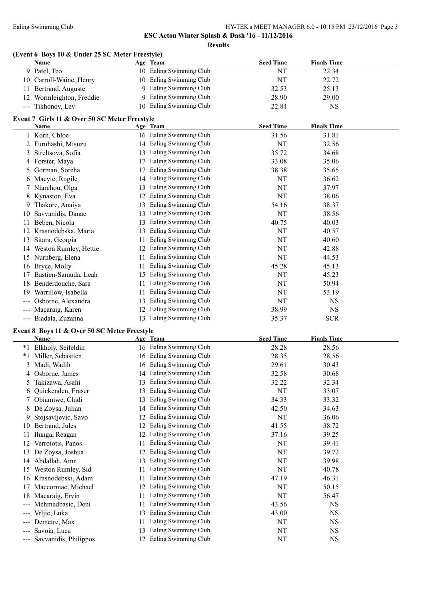## **ESC Acton Winter Splash & Dash '16 - 11/12/2016 Results**

## **(Event 6 Boys 10 & Under 25 SC Meter Freestyle)**

|     | Name                                          |    | Age Team                | <b>Seed Time</b> | <b>Finals Time</b> |  |
|-----|-----------------------------------------------|----|-------------------------|------------------|--------------------|--|
|     | 9 Patel, Teo                                  |    | 10 Ealing Swimming Club | NT               | 22.34              |  |
| 10  | Carroll-Waine, Henry                          |    | 10 Ealing Swimming Club | NT               | 22.72              |  |
| 11  | Bertrand, Auguste                             | 9  | Ealing Swimming Club    | 32.53            | 25.13              |  |
| 12  | Wormleighton, Freddie                         | 9  | Ealing Swimming Club    | 28.90            | 29.00              |  |
|     | --- Tikhonov, Lev                             | 10 | Ealing Swimming Club    | 22.84            | $_{\rm NS}$        |  |
|     | Event 7 Girls 11 & Over 50 SC Meter Freestyle |    |                         |                  |                    |  |
|     | Name                                          |    | Age Team                | <b>Seed Time</b> | <b>Finals Time</b> |  |
|     | Korn, Chloe                                   |    | 16 Ealing Swimming Club | 31.56            | 31.81              |  |
|     | Furuhashi, Misuzu                             |    | 14 Ealing Swimming Club | NT               | 32.56              |  |
| 3   | Streltsova, Sofia                             |    | 13 Ealing Swimming Club | 35.72            | 34.68              |  |
| 4   | Forster, Maya                                 | 17 | Ealing Swimming Club    | 33.08            | 35.06              |  |
| 5.  | Gorman, Sorcha                                | 17 | Ealing Swimming Club    | 38.38            | 35.65              |  |
| 6   | Macyte, Rugile                                | 14 | Ealing Swimming Club    | NT               | 36.62              |  |
| 7   | Niarchou, Olga                                | 13 | Ealing Swimming Club    | NT               | 37.97              |  |
| 8   | Kynaston, Eva                                 | 12 | Ealing Swimming Club    | NT               | 38.06              |  |
| 9   | Thakore, Anaiya                               | 13 | Ealing Swimming Club    | 54.16            | 38.37              |  |
| 10  | Savvanidis, Danae                             | 13 | Ealing Swimming Club    | NT               | 38.56              |  |
| 11  | Beben, Nicola                                 | 13 | Ealing Swimming Club    | 40.75            | 40.03              |  |
| 12  | Krasnodebska, Maria                           | 13 | Ealing Swimming Club    | NT               | 40.57              |  |
| 13  | Sitara, Georgia                               | 11 | Ealing Swimming Club    | NT               | 40.60              |  |
|     | 14 Weston Rumley, Hettie                      | 12 | Ealing Swimming Club    | NT               | 42.88              |  |
| 15  | Nurnberg, Elena                               | 11 | Ealing Swimming Club    | NT               | 44.53              |  |
| 16  | Bryce, Molly                                  | 11 | Ealing Swimming Club    | 45.28            | 45.13              |  |
| 17  | Bastien-Samuda, Leah                          |    | 15 Ealing Swimming Club | NT               | 45.23              |  |
| 18  | Benderdouche, Sara                            | 11 | Ealing Swimming Club    | NT               | 50.94              |  |
| 19  | Warrillow, Isabella                           | 11 | Ealing Swimming Club    | NT               | 53.19              |  |
|     | Osborne, Alexandra                            | 13 | Ealing Swimming Club    | NT               | <b>NS</b>          |  |
| --- | Macaraig, Karen                               | 12 | Ealing Swimming Club    | 38.99            | <b>NS</b>          |  |
|     | --- Biadala, Zuzanna                          | 13 | Ealing Swimming Club    | 35.37            | <b>SCR</b>         |  |
|     | Event 8 Boys 11 & Over 50 SC Meter Freestyle  |    |                         |                  |                    |  |
|     | Name                                          |    | Age Team                | <b>Seed Time</b> | <b>Finals Time</b> |  |
|     | *1 Elkholy, Seifeldin                         |    | 16 Ealing Swimming Club | 28.28            | 28.56              |  |
|     | *1 Miller, Sebastien                          |    | 16 Ealing Swimming Club | 28.35            | 28.56              |  |

|     | Elkholy, Seifeldin    | 16 | Ealing Swimming Club | 28.28     | 28.56     |
|-----|-----------------------|----|----------------------|-----------|-----------|
| *1  | Miller, Sebastien     | 16 | Ealing Swimming Club | 28.35     | 28.56     |
| 3.  | Madi, Wadih           | 16 | Ealing Swimming Club | 29.61     | 30.43     |
|     | Osborne, James        | 14 | Ealing Swimming Club | 32.58     | 30.68     |
|     | Takizawa, Asahi       | 13 | Ealing Swimming Club | 32.22     | 32.34     |
| 6   | Quickenden, Fraser    | 13 | Ealing Swimming Club | NT        | 33.07     |
|     | Obiamiwe, Chidi       | 13 | Ealing Swimming Club | 34.33     | 33.32     |
| 8   | De Zoysa, Julian      | 14 | Ealing Swimming Club | 42.50     | 34.63     |
|     | Stojsavljevic, Savo   | 12 | Ealing Swimming Club | NT        | 36.06     |
| 10  | Bertrand, Jules       | 12 | Ealing Swimming Club | 41.55     | 38.72     |
|     | Ilunga, Reagan        | 12 | Ealing Swimming Club | 37.16     | 39.25     |
|     | Verroiotis, Panos     | 11 | Ealing Swimming Club | NT        | 39.41     |
|     | De Zoysa, Joshua      | 12 | Ealing Swimming Club | <b>NT</b> | 39.72     |
| 14  | Abdallah, Amr         | 13 | Ealing Swimming Club | NT        | 39.98     |
| 15  | Weston Rumley, Sid    | 11 | Ealing Swimming Club | NT        | 40.78     |
| 16  | Krasnodebski, Adam    | 11 | Ealing Swimming Club | 47.19     | 46.31     |
|     | Maccormac, Michael    | 12 | Ealing Swimming Club | NT        | 50.15     |
| 18. | Macaraig, Ervin       | 11 | Ealing Swimming Club | NT        | 56.47     |
|     | Mehmedbasic, Deni     | 11 | Ealing Swimming Club | 43.56     | <b>NS</b> |
|     | Vrljic, Luka          | 13 | Ealing Swimming Club | 43.00     | <b>NS</b> |
|     | Demetre, Max          | 11 | Ealing Swimming Club | NT        | <b>NS</b> |
|     | Savoia, Luca          | 13 | Ealing Swimming Club | NT        | <b>NS</b> |
|     | Savvanidis, Philippos | 12 | Ealing Swimming Club | <b>NT</b> | <b>NS</b> |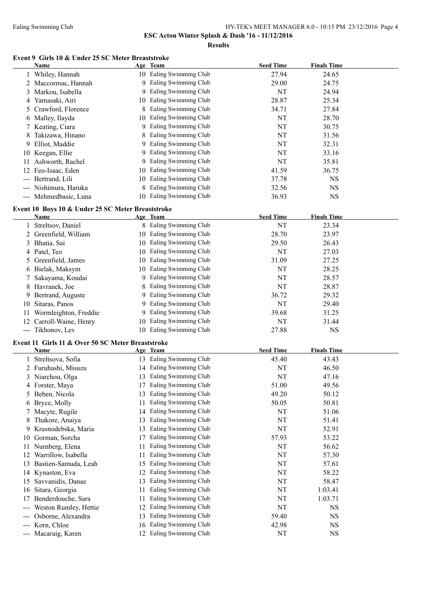**ESC Acton Winter Splash & Dash '16 - 11/12/2016**

**Results**

#### **Event 9 Girls 10 & Under 25 SC Meter Breaststroke**

|              | <b>Name</b>                                       |    | Age Team                | <b>Seed Time</b> | <b>Finals Time</b> |  |
|--------------|---------------------------------------------------|----|-------------------------|------------------|--------------------|--|
|              | 1 Whiley, Hannah                                  |    | 10 Ealing Swimming Club | 27.94            | 24.65              |  |
|              | 2 Maccormac, Hannah                               |    | 9 Ealing Swimming Club  | 29.00            | 24.75              |  |
|              | 3 Markou, Isabella                                | 9  | Ealing Swimming Club    | NT               | 24.94              |  |
|              | 4 Yamasaki, Airi                                  | 10 | Ealing Swimming Club    | 28.87            | 25.34              |  |
|              | 5 Crawford, Florence                              | 8  | Ealing Swimming Club    | 34.71            | 27.84              |  |
|              | 6 Malley, Ilayda                                  | 10 | Ealing Swimming Club    | NT               | 28.70              |  |
|              | 7 Keating, Ciara                                  | 9. | Ealing Swimming Club    | NT               | 30.75              |  |
|              |                                                   |    | Ealing Swimming Club    |                  |                    |  |
|              | 8 Takizawa, Hinano                                | 8  |                         | NT               | 31.56              |  |
|              | 9 Elliot, Maddie                                  |    | 9 Ealing Swimming Club  | NT               | 32.31              |  |
|              | 10 Keegan, Ellie                                  |    | 9 Ealing Swimming Club  | NT               | 33.16              |  |
|              | 11 Ashworth, Rachel                               |    | 9 Ealing Swimming Club  | <b>NT</b>        | 35.81              |  |
|              | 12 Feo-Isaac, Eden                                |    | 10 Ealing Swimming Club | 41.59            | 36.75              |  |
|              | --- Bertrand, Lili                                |    | 10 Ealing Swimming Club | 37.78            | <b>NS</b>          |  |
|              | --- Nishimura, Haruka                             |    | Ealing Swimming Club    | 32.56            | <b>NS</b>          |  |
|              | --- Mehmedbasic, Luna                             |    | 10 Ealing Swimming Club | 36.93            | <b>NS</b>          |  |
|              | Event 10 Boys 10 & Under 25 SC Meter Breaststroke |    |                         |                  |                    |  |
|              | <b>Name</b>                                       |    | Age Team                | <b>Seed Time</b> | <b>Finals Time</b> |  |
|              | 1 Streltsov, Daniel                               |    | 8 Ealing Swimming Club  | NT               | 23.34              |  |
|              | 2 Greenfield, William                             |    | 10 Ealing Swimming Club | 28.70            | 23.97              |  |
|              | 3 Bhatia, Sai                                     |    | 10 Ealing Swimming Club | 29.50            | 26.43              |  |
|              |                                                   |    | 10 Ealing Swimming Club | NT               | 27.03              |  |
|              | 4 Patel, Teo                                      |    | 10 Ealing Swimming Club |                  |                    |  |
|              | 5 Greenfield, James                               |    |                         | 31.09            | 27.25              |  |
|              | 6 Bielak, Maksym                                  |    | 10 Ealing Swimming Club | NT               | 28.25              |  |
| 7            | Sakayama, Koudai                                  |    | 9 Ealing Swimming Club  | NT               | 28.57              |  |
|              | 8 Havranek, Joe                                   |    | Ealing Swimming Club    | NT               | 28.87              |  |
| 9.           | Bertrand, Auguste                                 |    | 9 Ealing Swimming Club  | 36.72            | 29.32              |  |
| 10           | Sitaras, Panos                                    |    | 9 Ealing Swimming Club  | NT               | 29.40              |  |
| 11           | Wormleighton, Freddie                             |    | 9 Ealing Swimming Club  | 39.68            | 31.25              |  |
| 12           | Carroll-Waine, Henry                              |    | 10 Ealing Swimming Club | NT               | 31.44              |  |
|              | --- Tikhonov, Lev                                 |    | 10 Ealing Swimming Club | 27.88            | <b>NS</b>          |  |
|              | Event 11 Girls 11 & Over 50 SC Meter Breaststroke |    |                         |                  |                    |  |
|              | Name                                              |    | Age Team                | <b>Seed Time</b> | <b>Finals Time</b> |  |
|              | Streltsova, Sofia                                 |    | 13 Ealing Swimming Club | 45.40            | 43.43              |  |
|              | 2 Furuhashi, Misuzu                               |    | 14 Ealing Swimming Club | NT               | 46.50              |  |
|              | 3 Niarchou, Olga                                  |    | 13 Ealing Swimming Club | NT               | 47.16              |  |
| 4            | Forster, Maya                                     |    | 17 Ealing Swimming Club | 51.00            | 49.56              |  |
|              | 5 Beben, Nicola                                   | 13 | Ealing Swimming Club    | 49.20            | 50.12              |  |
|              | 6 Bryce, Molly                                    | 11 | Ealing Swimming Club    | 50.05            | 50.81              |  |
|              | 7 Macyte, Rugile                                  |    | Ealing Swimming Club    | NT               | 51.06              |  |
|              |                                                   | 14 |                         |                  |                    |  |
| 8            | Thakore, Anaiya                                   | 13 | Ealing Swimming Club    | NT               | 51.41              |  |
| 9            | Krasnodebska, Maria                               | 13 | Ealing Swimming Club    | NT               | 52.91              |  |
| 10           | Gorman, Sorcha                                    | 17 | Ealing Swimming Club    | 57.93            | 53.22              |  |
| $11^{\circ}$ | Nurnberg, Elena                                   | 11 | Ealing Swimming Club    | NT               | 56.62              |  |
|              | 12 Warrillow, Isabella                            | 11 | Ealing Swimming Club    | NT               | 57.30              |  |
|              | 13 Bastien-Samuda, Leah                           | 15 | Ealing Swimming Club    | NT               | 57.61              |  |
|              | 14 Kynaston, Eva                                  | 12 | Ealing Swimming Club    | NT               | 58.22              |  |
| 15           | Savvanidis, Danae                                 | 13 | Ealing Swimming Club    | NT               | 58.47              |  |
| 16           | Sitara, Georgia                                   | 11 | Ealing Swimming Club    | NT               | 1:03.41            |  |
| 17           | Benderdouche, Sara                                | 11 | Ealing Swimming Club    | NT               | 1:03.71            |  |
| ---          | Weston Rumley, Hettie                             | 12 | Ealing Swimming Club    | NT               | <b>NS</b>          |  |
|              | Osborne, Alexandra                                | 13 | Ealing Swimming Club    | 59.40            | <b>NS</b>          |  |
| ---          | Korn, Chloe                                       | 16 | Ealing Swimming Club    | 42.98            | <b>NS</b>          |  |
|              | Macaraig, Karen                                   |    | 12 Ealing Swimming Club | NT               | <b>NS</b>          |  |
|              |                                                   |    |                         |                  |                    |  |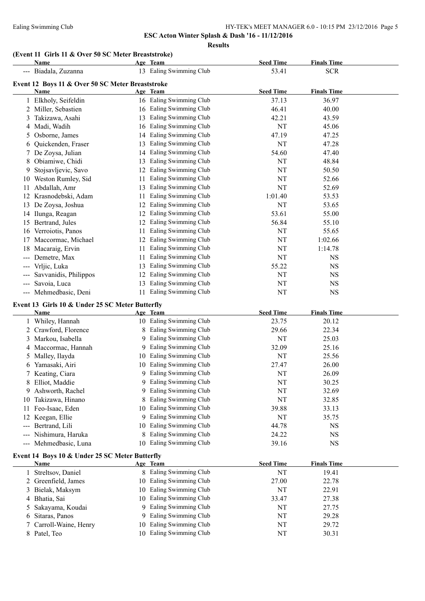**ESC Acton Winter Splash & Dash '16 - 11/12/2016**

### **Results**

### **(Event 11 Girls 11 & Over 50 SC Meter Breaststroke)**

| Name                                             |    |                      | <b>Seed Time</b>                                                           | <b>Finals Time</b> |  |  |  |  |
|--------------------------------------------------|----|----------------------|----------------------------------------------------------------------------|--------------------|--|--|--|--|
| Biadala, Zuzanna                                 |    |                      | 53.41                                                                      | <b>SCR</b>         |  |  |  |  |
| Event 12 Boys 11 & Over 50 SC Meter Breaststroke |    |                      |                                                                            |                    |  |  |  |  |
| Name                                             |    |                      | <b>Seed Time</b>                                                           | <b>Finals Time</b> |  |  |  |  |
| Elkholy, Seifeldin                               |    |                      | 37.13                                                                      | 36.97              |  |  |  |  |
| Miller, Sebastien                                | 16 | Ealing Swimming Club | 46.41                                                                      | 40.00              |  |  |  |  |
| Takizawa, Asahi                                  | 13 | Ealing Swimming Club | 42.21                                                                      | 43.59              |  |  |  |  |
| Madi, Wadih                                      | 16 | Ealing Swimming Club | NT                                                                         | 45.06              |  |  |  |  |
| Osborne, James                                   | 14 | Ealing Swimming Club | 47.19                                                                      | 47.25              |  |  |  |  |
| Quickenden, Fraser                               | 13 | Ealing Swimming Club | NT                                                                         | 47.28              |  |  |  |  |
| De Zoysa, Julian                                 | 14 | Ealing Swimming Club | 54.60                                                                      | 47.40              |  |  |  |  |
| Obiamiwe, Chidi                                  | 13 | Ealing Swimming Club | NT                                                                         | 48.84              |  |  |  |  |
| Stojsavljevic, Savo                              | 12 | Ealing Swimming Club | NT                                                                         | 50.50              |  |  |  |  |
| Weston Rumley, Sid                               | 11 | Ealing Swimming Club | NT                                                                         | 52.66              |  |  |  |  |
| Abdallah, Amr                                    | 13 | Ealing Swimming Club | NT                                                                         | 52.69              |  |  |  |  |
| Krasnodebski, Adam                               | 11 | Ealing Swimming Club | 1:01.40                                                                    | 53.53              |  |  |  |  |
| De Zoysa, Joshua                                 | 12 | Ealing Swimming Club | NT                                                                         | 53.65              |  |  |  |  |
| Ilunga, Reagan                                   | 12 | Ealing Swimming Club | 53.61                                                                      | 55.00              |  |  |  |  |
| Bertrand, Jules                                  | 12 | Ealing Swimming Club | 56.84                                                                      | 55.10              |  |  |  |  |
| Verroiotis, Panos                                | 11 | Ealing Swimming Club | NT                                                                         | 55.65              |  |  |  |  |
| Maccormac, Michael                               | 12 | Ealing Swimming Club | <b>NT</b>                                                                  | 1:02.66            |  |  |  |  |
| Macaraig, Ervin                                  | 11 | Ealing Swimming Club | NT                                                                         | 1:14.78            |  |  |  |  |
| Demetre, Max                                     | 11 | Ealing Swimming Club | NT                                                                         | <b>NS</b>          |  |  |  |  |
| Vrljic, Luka                                     | 13 | Ealing Swimming Club | 55.22                                                                      | <b>NS</b>          |  |  |  |  |
| Savvanidis, Philippos                            | 12 | Ealing Swimming Club | NT                                                                         | <b>NS</b>          |  |  |  |  |
| Savoia, Luca                                     | 13 | Ealing Swimming Club | NT                                                                         | <b>NS</b>          |  |  |  |  |
| Mehmedbasic, Deni                                | 11 | Ealing Swimming Club | NT                                                                         | <b>NS</b>          |  |  |  |  |
|                                                  |    |                      | Age Team<br>13 Ealing Swimming Club<br>Age Team<br>16 Ealing Swimming Club |                    |  |  |  |  |

## **Event 13 Girls 10 & Under 25 SC Meter Butterfly**

|                   | <b>Name</b>                                    |    | Age Team             | <b>Seed Time</b> | <b>Finals Time</b> |  |
|-------------------|------------------------------------------------|----|----------------------|------------------|--------------------|--|
|                   | Whiley, Hannah                                 | 10 | Ealing Swimming Club | 23.75            | 20.12              |  |
| 2                 | Crawford, Florence                             | 8  | Ealing Swimming Club | 29.66            | 22.34              |  |
| 3                 | Markou, Isabella                               | 9  | Ealing Swimming Club | NT               | 25.03              |  |
|                   | 4 Maccormac, Hannah                            | 9  | Ealing Swimming Club | 32.09            | 25.16              |  |
|                   | 5 Malley, Ilayda                               | 10 | Ealing Swimming Club | NT               | 25.56              |  |
| 6.                | Yamasaki, Airi                                 | 10 | Ealing Swimming Club | 27.47            | 26.00              |  |
|                   | 7 Keating, Ciara                               | 9  | Ealing Swimming Club | NT               | 26.09              |  |
| 8                 | Elliot, Maddie                                 | 9  | Ealing Swimming Club | NT               | 30.25              |  |
| 9.                | Ashworth, Rachel                               | 9  | Ealing Swimming Club | NT               | 32.69              |  |
| 10                | Takizawa, Hinano                               |    | Ealing Swimming Club | NT               | 32.85              |  |
|                   | Feo-Isaac, Eden                                | 10 | Ealing Swimming Club | 39.88            | 33.13              |  |
|                   | Keegan, Ellie                                  | 9  | Ealing Swimming Club | NT               | 35.75              |  |
|                   | Bertrand, Lili                                 | 10 | Ealing Swimming Club | 44.78            | <b>NS</b>          |  |
| $\qquad \qquad -$ | Nishimura, Haruka                              | 8  | Ealing Swimming Club | 24.22            | <b>NS</b>          |  |
| $---$             | Mehmedbasic, Luna                              | 10 | Ealing Swimming Club | 39.16            | <b>NS</b>          |  |
|                   | Event 14 Boys 10 & Under 25 SC Meter Butterfly |    |                      |                  |                    |  |
|                   | Name                                           |    | Age Team             | <b>Seed Time</b> | <b>Finals Time</b> |  |
|                   | Streltsov, Daniel                              |    | Ealing Swimming Club | NT               | 19.41              |  |
| 2                 | Greenfield, James                              | 10 | Ealing Swimming Club | 27.00            | 22.78              |  |
| 3                 | Bielak, Maksym                                 | 10 | Ealing Swimming Club | NT               | 22.91              |  |
|                   | 4 Bhatia, Sai                                  | 10 | Ealing Swimming Club | 33.47            | 27.38              |  |
|                   | Sakayama, Koudai                               | 9  | Ealing Swimming Club | NT               | 27.75              |  |
| 6                 | Sitaras, Panos                                 | 9. | Ealing Swimming Club | NT               | 29.28              |  |

- Carroll-Waine, Henry 10 Ealing Swimming Club NT 29.72
- 8 Patel, Teo 10 Ealing Swimming Club NT 30.31